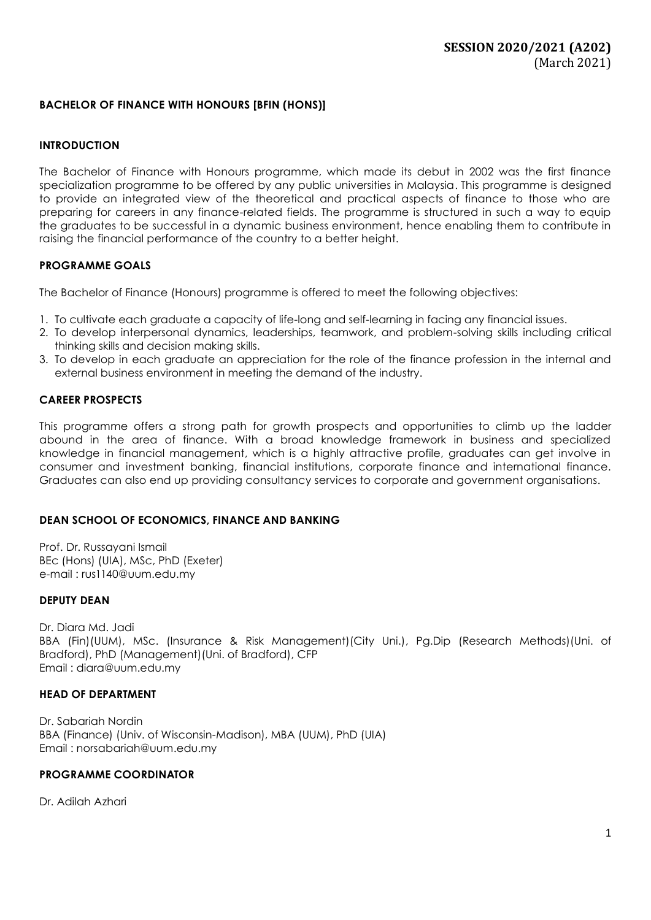# **BACHELOR OF FINANCE WITH HONOURS [BFIN (HONS)]**

#### **INTRODUCTION**

The Bachelor of Finance with Honours programme, which made its debut in 2002 was the first finance specialization programme to be offered by any public universities in Malaysia. This programme is designed to provide an integrated view of the theoretical and practical aspects of finance to those who are preparing for careers in any finance-related fields. The programme is structured in such a way to equip the graduates to be successful in a dynamic business environment, hence enabling them to contribute in raising the financial performance of the country to a better height.

### **PROGRAMME GOALS**

The Bachelor of Finance (Honours) programme is offered to meet the following objectives:

- 1. To cultivate each graduate a capacity of life-long and self-learning in facing any financial issues.
- 2. To develop interpersonal dynamics, leaderships, teamwork, and problem-solving skills including critical thinking skills and decision making skills.
- 3. To develop in each graduate an appreciation for the role of the finance profession in the internal and external business environment in meeting the demand of the industry.

#### **CAREER PROSPECTS**

This programme offers a strong path for growth prospects and opportunities to climb up the ladder abound in the area of finance. With a broad knowledge framework in business and specialized knowledge in financial management, which is a highly attractive profile, graduates can get involve in consumer and investment banking, financial institutions, corporate finance and international finance. Graduates can also end up providing consultancy services to corporate and government organisations.

### **DEAN SCHOOL OF ECONOMICS, FINANCE AND BANKING**

Prof. Dr. Russayani Ismail BEc (Hons) (UIA), MSc, PhD (Exeter) e-mail : [rus1140@uum.edu.my](mailto:rus1140@uum.edu.my)

#### **DEPUTY DEAN**

Dr. Diara Md. Jadi BBA (Fin)(UUM), MSc. (Insurance & Risk Management)(City Uni.), Pg.Dip (Research Methods)(Uni. of Bradford), PhD (Management)(Uni. of Bradford), CFP Email : [diara@uum.edu.my](mailto:diara@uum.edu.my)

#### **HEAD OF DEPARTMENT**

Dr. Sabariah Nordin BBA (Finance) (Univ. of Wisconsin-Madison), MBA (UUM), PhD (UIA) Email [: norsabariah@uum.edu.my](mailto:norsabariah@uum.edu.my)

### **PROGRAMME COORDINATOR**

Dr. Adilah Azhari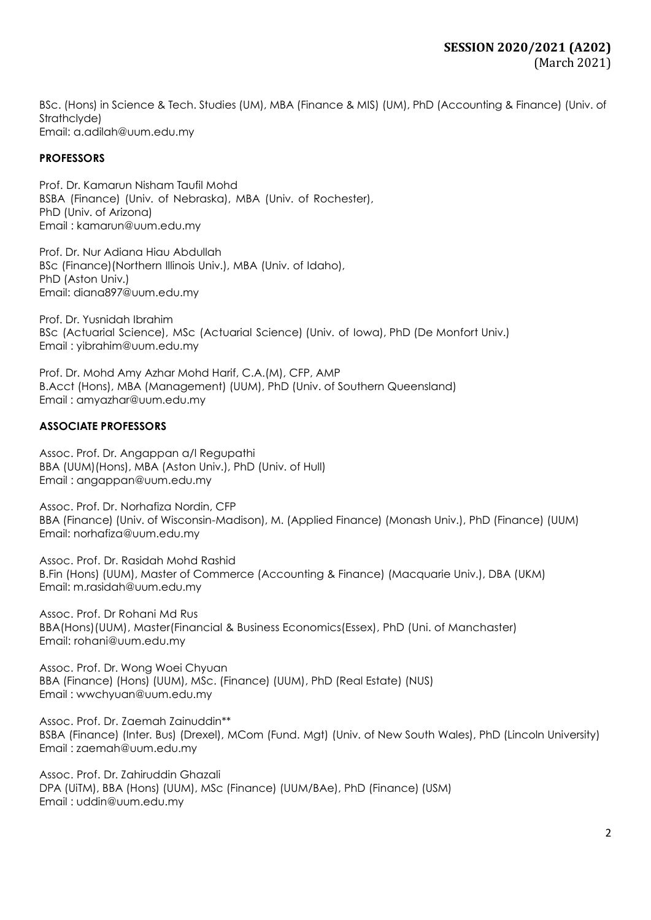BSc. (Hons) in Science & Tech. Studies (UM), MBA (Finance & MIS) (UM), PhD (Accounting & Finance) (Univ. of Strathclyde) Email: [a.adilah@uum.edu.my](mailto:a.adilah@uum.edu.my)

## **PROFESSORS**

Prof. Dr. Kamarun Nisham Taufil Mohd BSBA (Finance) (Univ. of Nebraska), MBA (Univ. of Rochester), PhD (Univ. of Arizona) Email : [kamarun@uum.edu.my](mailto:kamarun@uum.edu.my)

Prof. Dr. Nur Adiana Hiau Abdullah BSc (Finance)(Northern Illinois Univ.), MBA (Univ. of Idaho), PhD (Aston Univ.) Email: [diana897@uum.edu.my](mailto:diana897@uum.edu.my)

Prof. Dr. Yusnidah Ibrahim BSc (Actuarial Science), MSc (Actuarial Science) (Univ. of Iowa), PhD (De Monfort Univ.) Email : [yibrahim@uum.edu.my](mailto:yibrahim@uum.edu.my)

Prof. Dr. Mohd Amy Azhar Mohd Harif, C.A.(M), CFP, AMP B.Acct (Hons), MBA (Management) (UUM), PhD (Univ. of Southern Queensland) Email : amyazhar@uum.edu.my

## **ASSOCIATE PROFESSORS**

Assoc. Prof. Dr. Angappan a/l Regupathi BBA (UUM)(Hons), MBA (Aston Univ.), PhD (Univ. of Hull) Email : [angappan@uum.edu.my](mailto:angappan@uum.edu.my)

Assoc. Prof. Dr. Norhafiza Nordin, CFP BBA (Finance) (Univ. of Wisconsin-Madison), M. (Applied Finance) (Monash Univ.), PhD (Finance) (UUM) Email: [norhafiza@uum.edu.my](mailto:norhafiza@uum.edu.my)

Assoc. Prof. Dr. Rasidah Mohd Rashid B.Fin (Hons) (UUM), Master of Commerce (Accounting & Finance) (Macquarie Univ.), DBA (UKM) Email: m.rasidah@uum.edu.my

Assoc. Prof. Dr Rohani Md Rus BBA(Hons)(UUM), Master(Financial & Business Economics(Essex), PhD (Uni. of Manchaster) Email: rohani@uum.edu.my

Assoc. Prof. Dr. Wong Woei Chyuan BBA (Finance) (Hons) (UUM), MSc. (Finance) (UUM), PhD (Real Estate) (NUS) Email : [wwchyuan@uum.edu.my](mailto:wwchyuan@uum.edu.my)

Assoc. Prof. Dr. Zaemah Zainuddin\*\* BSBA (Finance) (Inter. Bus) (Drexel), MCom (Fund. Mgt) (Univ. of New South Wales), PhD (Lincoln University) Email : [zaemah@uum.edu.my](mailto:zaemah@uum.edu.my)

Assoc. Prof. Dr. Zahiruddin Ghazali DPA (UiTM), BBA (Hons) (UUM), MSc (Finance) (UUM/BAe), PhD (Finance) (USM) Email : [uddin@uum.edu.my](mailto:uddin@uum.edu.my)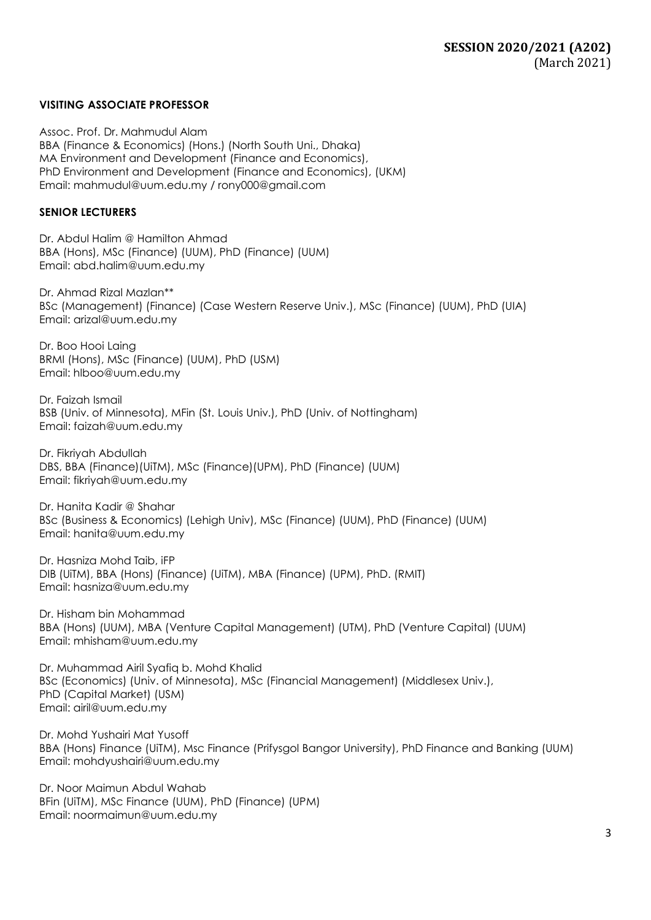### **VISITING ASSOCIATE PROFESSOR**

Assoc. Prof. Dr. Mahmudul Alam BBA (Finance & Economics) (Hons.) (North South Uni., Dhaka) MA Environment and Development (Finance and Economics), PhD Environment and Development (Finance and Economics), (UKM) Email: [mahmudul@uum.edu.my](mailto:mahmudul@uum.edu.my) / [rony000@gmail.com](mailto:rony000@gmail.com)

### **SENIOR LECTURERS**

Dr. Abdul Halim @ Hamilton Ahmad BBA (Hons), MSc (Finance) (UUM), PhD (Finance) (UUM) Email: [abd.halim@uum.edu.my](mailto:abd.halim@uum.edu.my)

Dr. Ahmad Rizal Mazlan\*\* BSc (Management) (Finance) (Case Western Reserve Univ.), MSc (Finance) (UUM), PhD (UIA) Email: [arizal@uum.edu.my](mailto:arizal@uum.edu.my)

Dr. Boo Hooi Laing BRMI (Hons), MSc (Finance) (UUM), PhD (USM) Email: hlboo@uum.edu.my

Dr. Faizah Ismail BSB (Univ. of Minnesota), MFin (St. Louis Univ.), PhD (Univ. of Nottingham) Email: [faizah@uum.edu.my](mailto:faizah@uum.edu.my)

Dr. Fikriyah Abdullah DBS, BBA (Finance)(UiTM), MSc (Finance)(UPM), PhD (Finance) (UUM) Email: [fikriyah@uum.edu.my](mailto:fikriyah@uum.edu.my)

Dr. Hanita Kadir @ Shahar BSc (Business & Economics) (Lehigh Univ), MSc (Finance) (UUM), PhD (Finance) (UUM) Email: [hanita@uum.edu.my](mailto:hanita@uum.edu.my)

Dr. Hasniza Mohd Taib, iFP DIB (UiTM), BBA (Hons) (Finance) (UiTM), MBA (Finance) (UPM), PhD. (RMIT) Ema[il: hasniza@uum.edu.my](mailto:hasniza@uum.edu.my)

Dr. Hisham bin Mohammad BBA (Hons) (UUM), MBA (Venture Capital Management) (UTM), PhD (Venture Capital) (UUM) Email: [mhisham@uum.edu.my](mailto:mhisham@uum.edu.my)

Dr. Muhammad Airil Syafiq b. Mohd Khalid BSc (Economics) (Univ. of Minnesota), MSc (Financial Management) (Middlesex Univ.), PhD (Capital Market) (USM) Email: airil@uum.edu.my

Dr. Mohd Yushairi Mat Yusoff BBA (Hons) Finance (UiTM), Msc Finance (Prifysgol Bangor University), PhD Finance and Banking (UUM) Email: mohdyushairi@uum.edu.my

Dr. Noor Maimun Abdul Wahab BFin (UiTM), MSc Finance (UUM), PhD (Finance) (UPM) Email: noormaimun@uum.edu.my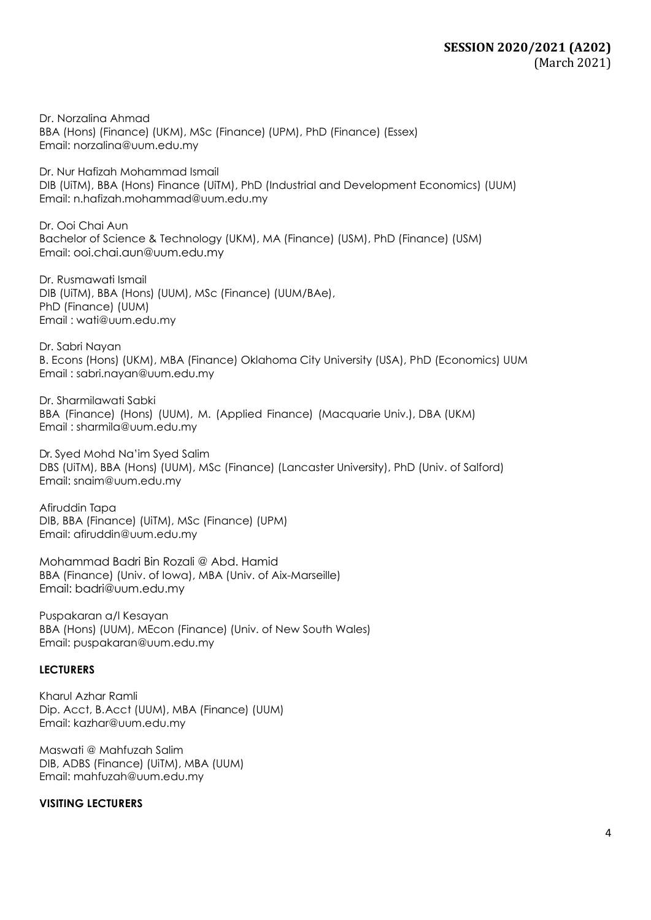Dr. Norzalina Ahmad BBA (Hons) (Finance) (UKM), MSc (Finance) (UPM), PhD (Finance) (Essex) Email: [norzalina@uum.edu.my](mailto:norzalina@uum.edu.my)

Dr. Nur Hafizah Mohammad Ismail DIB (UiTM), BBA (Hons) Finance (UiTM), PhD (Industrial and Development Economics) (UUM) Email: [n.hafizah.mohammad@uum.edu.my](mailto:n.hafizah.mohammad@uum.edu.my)

Dr. Ooi Chai Aun Bachelor of Science & Technology (UKM), MA (Finance) (USM), PhD (Finance) (USM) Email: ooi.chai.aun@uum.edu.my

Dr. Rusmawati Ismail DIB (UiTM), BBA (Hons) (UUM), MSc (Finance) (UUM/BAe), PhD (Finance) (UUM) Email : [wati@uum.edu.my](mailto:wati@uum.edu.my)

Dr. Sabri Nayan B. Econs (Hons) (UKM), MBA (Finance) Oklahoma City University (USA), PhD (Economics) UUM Email : sabri.nayan@uum.edu.my

Dr. Sharmilawati Sabki BBA (Finance) (Hons) (UUM), M. (Applied Finance) (Macquarie Univ.), DBA (UKM) Email : [sharmila@uum.edu.my](mailto:sharmila@uum.edu.my)

Dr. Syed Mohd Na'im Syed Salim DBS (UiTM), BBA (Hons) (UUM), MSc (Finance) (Lancaster University), PhD (Univ. of Salford) Email: [snaim@uum.edu.my](mailto:snaim@uum.edu.my)

Afiruddin Tapa DIB, BBA (Finance) (UiTM), MSc (Finance) (UPM) Email: [afiruddin@uum.edu.my](mailto:afiruddin@uum.edu.my)

Mohammad Badri Bin Rozali @ Abd. Hamid BBA (Finance) (Univ. of Iowa), MBA (Univ. of Aix-Marseille) Email: badri@uum.edu.my

Puspakaran a/l Kesayan BBA (Hons) (UUM), MEcon (Finance) (Univ. of New South Wales) Email: [puspakaran@uum.edu.my](mailto:puspakaran@uum.edu.my)

### **LECTURERS**

Kharul Azhar Ramli Dip. Acct, B.Acct (UUM), MBA (Finance) (UUM) Email: [kazhar@uum.edu.my](mailto:kazhar@uum.edu.my)

Maswati @ Mahfuzah Salim DIB, ADBS (Finance) (UiTM), MBA (UUM) Email: [mahfuzah@uum.edu.my](mailto:mahfuzah@uum.edu.my)

### **VISITING LECTURERS**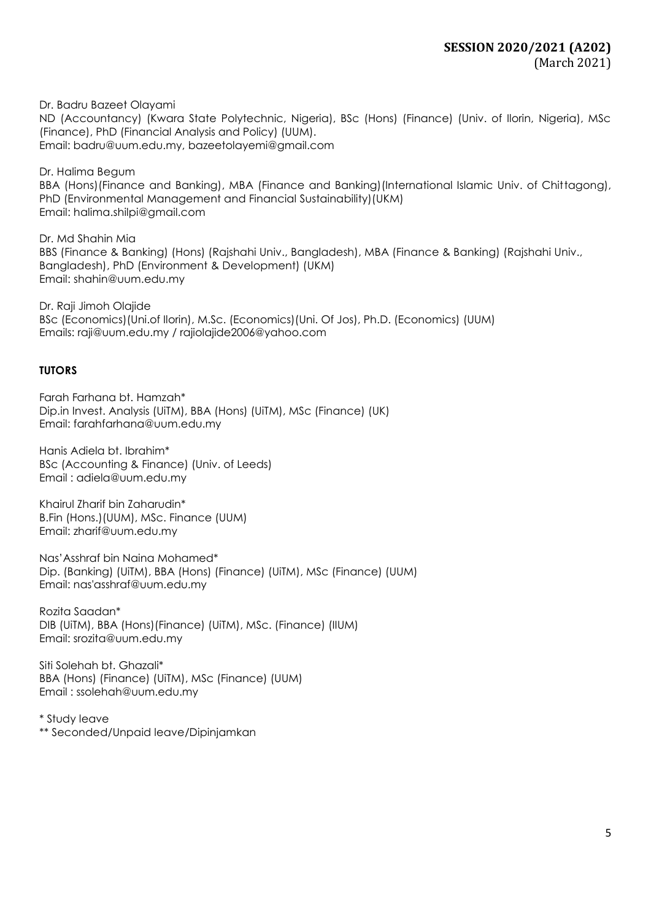Dr. Badru Bazeet Olayami ND (Accountancy) (Kwara State Polytechnic, Nigeria), BSc (Hons) (Finance) (Univ. of Ilorin, Nigeria), MSc (Finance), PhD (Financial Analysis and Policy) (UUM). Email: badru@uum.edu.my, [bazeetolayemi@gmail.com](mailto:bazeetolayemi@gmail.com)

Dr. Halima Begum BBA (Hons)(Finance and Banking), MBA (Finance and Banking)(International Islamic Univ. of Chittagong), PhD (Environmental Management and Financial Sustainability)(UKM) Email: halima.shilpi@gmail.com

Dr. Md Shahin Mia BBS (Finance & Banking) (Hons) (Rajshahi Univ., Bangladesh), MBA (Finance & Banking) (Rajshahi Univ., Bangladesh), PhD (Environment & Development) (UKM) Email: [shahin@uum.edu.my](mailto:shahin@uum.edu.my)

Dr. Raji Jimoh Olajide BSc (Economics)(Uni.of Ilorin), M.Sc. (Economics)(Uni. Of Jos), Ph.D. (Economics) (UUM) Emails: [raji@uum.edu.m](mailto:raji@uum.edu)y / [rajiolajide2006@yahoo.com](mailto:rajiolajide2006@yahoo.com)

# **TUTORS**

Farah Farhana bt. Hamzah\* Dip.in Invest. Analysis (UiTM), BBA (Hons) (UiTM), MSc (Finance) (UK) Email: [farahfarhana@uum.edu.my](mailto:farahfarhana@uum.edu.my)

Hanis Adiela bt. Ibrahim\* BSc (Accounting & Finance) (Univ. of Leeds) Email : adiela@uum.edu.my

Khairul Zharif bin Zaharudin\* B.Fin (Hons.)(UUM), MSc. Finance (UUM) Email: [zharif@uum.edu.my](mailto:zharif@uum.edu.my)

Nas'Asshraf bin Naina Mohamed\* Dip. (Banking) (UiTM), BBA (Hons) (Finance) (UiTM), MSc (Finance) (UUM) Email: nas'asshraf@uum.edu.my

Rozita Saadan\* DIB (UiTM), BBA (Hons)(Finance) (UiTM), MSc. (Finance) (IIUM) Email: srozita@uum.edu.my

Siti Solehah bt. Ghazali\* BBA (Hons) (Finance) (UiTM), MSc (Finance) (UUM) Email : ssolehah@uum.edu.my

\* Study leave \*\* Seconded/Unpaid leave/Dipinjamkan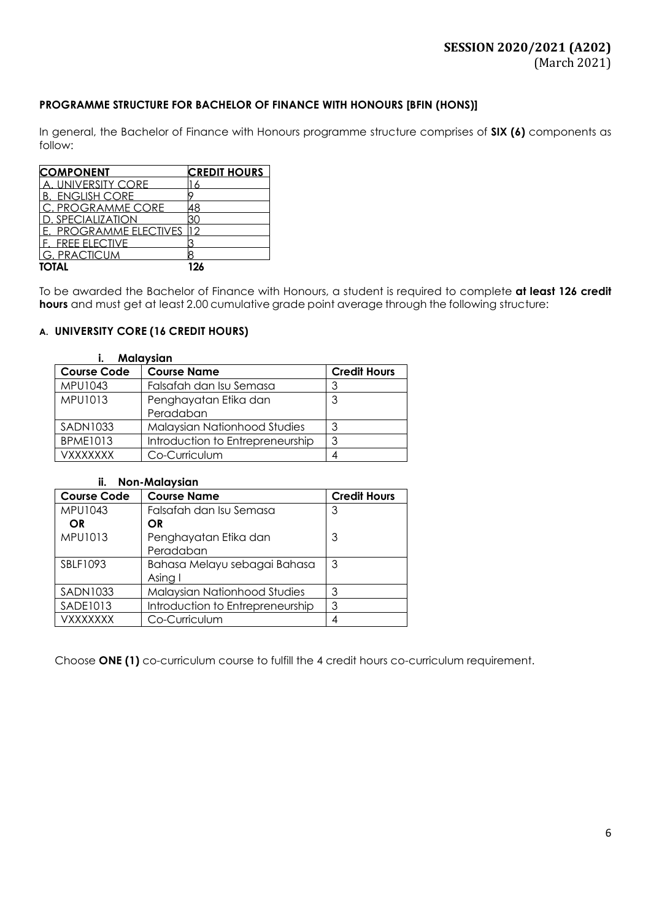# **PROGRAMME STRUCTURE FOR BACHELOR OF FINANCE WITH HONOURS [BFIN (HONS)]**

In general, the Bachelor of Finance with Honours programme structure comprises of **SIX (6)** components as follow:

| <b>COMPONENT</b>       | <b>CREDIT HOURS</b> |
|------------------------|---------------------|
| UNIVERSITY CORE        |                     |
| <b>B. ENGLISH CORE</b> |                     |
| C. PROGRAMME CORE      | 18                  |
| ) SPECIALIZATION       |                     |
| E. PROGRAMME ELECTIVES |                     |
| F FRFF FLFCTIVF        |                     |
| <b>G. PRACTICUM</b>    |                     |
| <b>TOTAL</b>           | 196                 |

To be awarded the Bachelor of Finance with Honours, a student is required to complete **at least 126 credit hours** and must get at least 2.00 cumulative grade point average through the following structure:

## **A. UNIVERSITY CORE (16 CREDIT HOURS)**

#### **i. Malaysian**

| <b>Course Code</b> | <b>Course Name</b>                  | <b>Credit Hours</b> |
|--------------------|-------------------------------------|---------------------|
| MPU1043            | Falsafah dan Isu Semasa             |                     |
| MPU1013            | Penghayatan Etika dan               | 3                   |
|                    | Peradaban                           |                     |
| <b>SADN1033</b>    | <b>Malaysian Nationhood Studies</b> | 3                   |
| <b>BPME1013</b>    | Introduction to Entrepreneurship    | 3                   |
| <b>VXXXXXXX</b>    | Co-Curriculum                       |                     |

#### **ii. Non-Malaysian**

| <b>Course Code</b> | <b>Course Name</b>               | <b>Credit Hours</b> |
|--------------------|----------------------------------|---------------------|
| MPU1043            | Falsafah dan Isu Semasa          | 3                   |
| <b>OR</b>          | OR.                              |                     |
| MPU1013            | Penghayatan Etika dan            | 3                   |
|                    | Peradaban                        |                     |
| SBLF1093           | Bahasa Melayu sebagai Bahasa     | 3                   |
|                    | Asing I                          |                     |
| <b>SADN1033</b>    | Malaysian Nationhood Studies     | 3                   |
| <b>SADE1013</b>    | Introduction to Entrepreneurship | 3                   |
| <b>VXXXXXXX</b>    | Co-Curriculum                    |                     |

Choose **ONE (1)** co-curriculum course to fulfill the 4 credit hours co-curriculum requirement.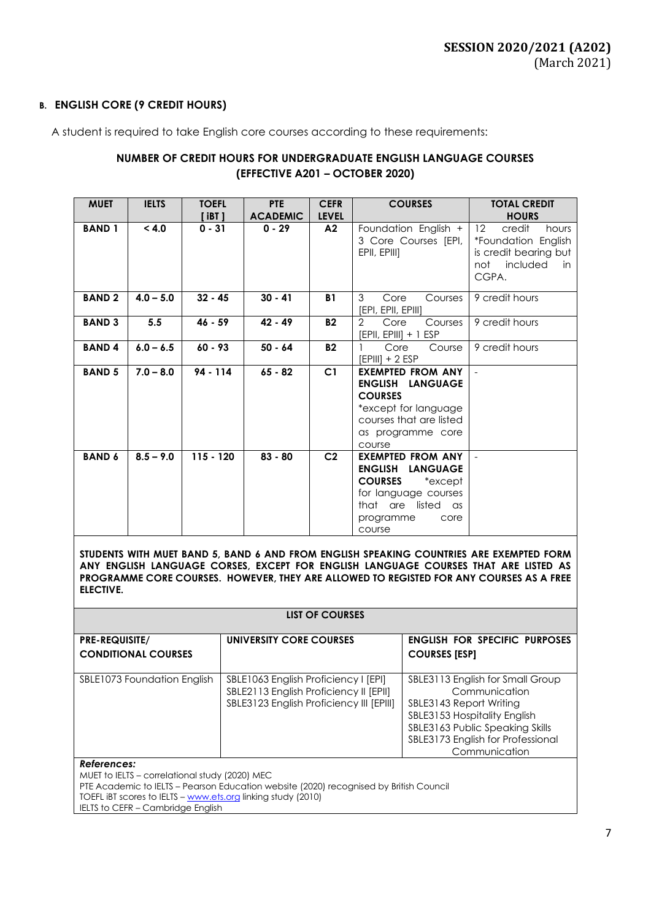## **B. ENGLISH CORE (9 CREDIT HOURS)**

A student is required to take English core courses according to these requirements:

# **NUMBER OF CREDIT HOURS FOR UNDERGRADUATE ENGLISH LANGUAGE COURSES (EFFECTIVE A201 – OCTOBER 2020)**

| <b>MUET</b>   | <b>IELTS</b> | <b>TOEFL</b><br>' iBT 1 | <b>PTE</b><br><b>ACADEMIC</b> | <b>CEFR</b><br><b>LEVEL</b> | <b>COURSES</b>                                                                                                                                                                | <b>TOTAL CREDIT</b><br><b>HOURS</b>                                                                     |
|---------------|--------------|-------------------------|-------------------------------|-----------------------------|-------------------------------------------------------------------------------------------------------------------------------------------------------------------------------|---------------------------------------------------------------------------------------------------------|
| <b>BAND1</b>  | < 4.0        | $0 - 31$                | $0 - 29$                      | A2                          | Foundation English +<br>3 Core Courses [EPI,<br>EPII, EPIII]                                                                                                                  | 12<br>credit<br>hours<br>*Foundation English<br>is credit bearing but<br>included<br>not<br>in<br>CGPA. |
| <b>BAND2</b>  | $4.0 - 5.0$  | $32 - 45$               | $30 - 41$                     | <b>B1</b>                   | 3<br>Core<br>Courses<br>[EPI, EPII, EPIII]                                                                                                                                    | 9 credit hours                                                                                          |
| <b>BAND 3</b> | 5.5          | $46 - 59$               | 42 - 49                       | <b>B2</b>                   | $\overline{2}$<br>Core<br>Courses<br>[EPII, EPIII] + 1 ESP                                                                                                                    | 9 credit hours                                                                                          |
| <b>BAND4</b>  | $6.0 - 6.5$  | $60 - 93$               | $50 - 64$                     | <b>B2</b>                   | Core<br>Course<br>$[EPIII] + 2 ESP$                                                                                                                                           | 9 credit hours                                                                                          |
| <b>BAND 5</b> | $7.0 - 8.0$  | $94 - 114$              | $65 - 82$                     | C1                          | <b>EXEMPTED FROM ANY</b><br><b>ENGLISH LANGUAGE</b><br><b>COURSES</b><br>*except for language<br>courses that are listed<br>as programme core<br>course                       |                                                                                                         |
| <b>BAND 6</b> | $8.5 - 9.0$  | $115 - 120$             | $83 - 80$                     | C <sub>2</sub>              | <b>EXEMPTED FROM ANY</b><br><b>ENGLISH</b><br><b>LANGUAGE</b><br><b>COURSES</b><br>*except<br>for language courses<br>listed<br>that are<br>as<br>programme<br>core<br>course |                                                                                                         |

**STUDENTS WITH MUET BAND 5, BAND 6 AND FROM ENGLISH SPEAKING COUNTRIES ARE EXEMPTED FORM ANY ENGLISH LANGUAGE CORSES, EXCEPT FOR ENGLISH LANGUAGE COURSES THAT ARE LISTED AS PROGRAMME CORE COURSES. HOWEVER, THEY ARE ALLOWED TO REGISTED FOR ANY COURSES AS A FREE ELECTIVE.**

| <b>LIST OF COURSES</b>                                        |                                                                                                                            |                                                                                                                                                                                                       |  |  |  |  |
|---------------------------------------------------------------|----------------------------------------------------------------------------------------------------------------------------|-------------------------------------------------------------------------------------------------------------------------------------------------------------------------------------------------------|--|--|--|--|
| <b>PRE-REQUISITE/</b><br><b>CONDITIONAL COURSES</b>           | UNIVERSITY CORE COURSES                                                                                                    | <b>ENGLISH FOR SPECIFIC PURPOSES</b><br><b>COURSES [ESP]</b>                                                                                                                                          |  |  |  |  |
| SBLE1073 Foundation English                                   | SBLE1063 English Proficiency I [EPI]<br>SBLE2113 English Proficiency II [EPII]<br>SBLE3123 English Proficiency III [EPIII] | SBLE3113 English for Small Group<br>Communication<br>SBLE3143 Report Writing<br>SBLE3153 Hospitality English<br>SBLE3163 Public Speaking Skills<br>SBLE3173 English for Professional<br>Communication |  |  |  |  |
| References:<br>MUET to IELTS - correlational study (2020) MEC |                                                                                                                            |                                                                                                                                                                                                       |  |  |  |  |

PTE Academic to IELTS – Pearson Education website (2020) recognised by British Council

TOEFL iBT scores to IELTS – [www.ets.org](http://www.ets.org/) linking study (2010)

IELTS to CEFR - Cambridge English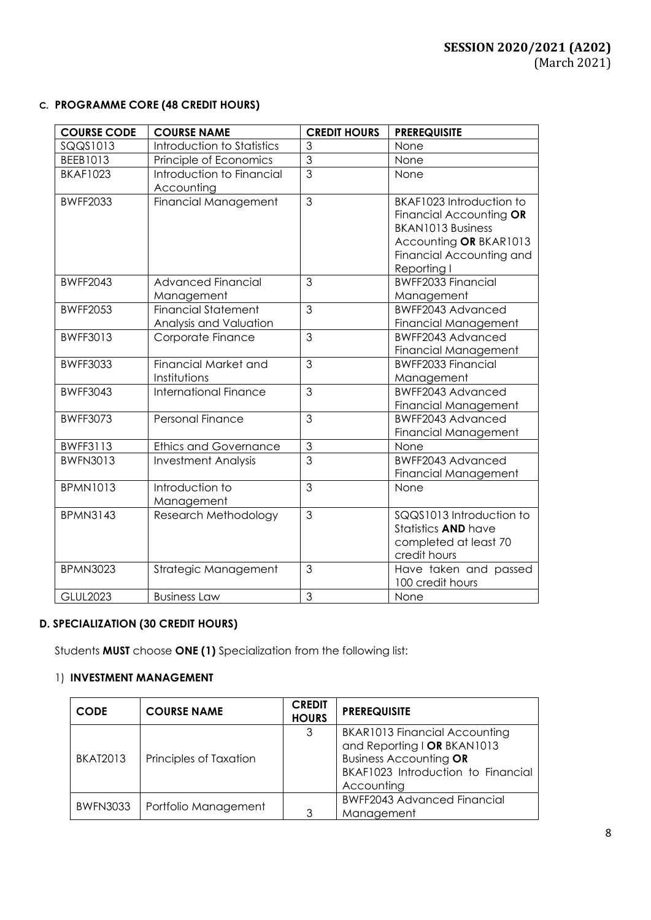# **C. PROGRAMME CORE (48 CREDIT HOURS)**

| <b>COURSE CODE</b> | <b>COURSE NAME</b>           | <b>CREDIT HOURS</b> | <b>PREREQUISITE</b>         |
|--------------------|------------------------------|---------------------|-----------------------------|
| SQQS1013           | Introduction to Statistics   | 3                   | None                        |
| BEEB1013           | Principle of Economics       | $\overline{3}$      | None                        |
| <b>BKAF1023</b>    | Introduction to Financial    | $\overline{3}$      | None                        |
|                    | Accounting                   |                     |                             |
| <b>BWFF2033</b>    | Financial Management         | 3                   | BKAF1023 Introduction to    |
|                    |                              |                     | Financial Accounting OR     |
|                    |                              |                     | <b>BKAN1013 Business</b>    |
|                    |                              |                     | Accounting OR BKAR1013      |
|                    |                              |                     | Financial Accounting and    |
|                    |                              |                     | Reporting I                 |
| <b>BWFF2043</b>    | <b>Advanced Financial</b>    | 3                   | BWFF2033 Financial          |
|                    | Management                   |                     | Management                  |
| <b>BWFF2053</b>    | <b>Financial Statement</b>   | 3                   | <b>BWFF2043 Advanced</b>    |
|                    | Analysis and Valuation       |                     | <b>Financial Management</b> |
| <b>BWFF3013</b>    | Corporate Finance            | 3                   | BWFF2043 Advanced           |
|                    |                              |                     | <b>Financial Management</b> |
| <b>BWFF3033</b>    | <b>Financial Market and</b>  | $\overline{3}$      | <b>BWFF2033 Financial</b>   |
|                    | Institutions                 |                     | Management                  |
| <b>BWFF3043</b>    | <b>International Finance</b> | $\overline{3}$      | BWFF2043 Advanced           |
|                    |                              |                     | Financial Management        |
| <b>BWFF3073</b>    | <b>Personal Finance</b>      | 3                   | <b>BWFF2043 Advanced</b>    |
|                    |                              |                     | Financial Management        |
| <b>BWFF3113</b>    | <b>Ethics and Governance</b> | 3                   | None                        |
| <b>BWFN3013</b>    | <b>Investment Analysis</b>   | $\overline{3}$      | BWFF2043 Advanced           |
|                    |                              |                     | <b>Financial Management</b> |
| <b>BPMN1013</b>    | Introduction to              | $\overline{3}$      | None                        |
|                    | Management                   |                     |                             |
| <b>BPMN3143</b>    | Research Methodology         | $\overline{3}$      | SQQS1013 Introduction to    |
|                    |                              |                     | Statistics <b>AND</b> have  |
|                    |                              |                     | completed at least 70       |
|                    |                              |                     | credit hours                |
| <b>BPMN3023</b>    | Strategic Management         | 3                   | Have taken and passed       |
|                    |                              |                     | 100 credit hours            |
| <b>GLUL2023</b>    | <b>Business Law</b>          | 3                   | None                        |

# **D. SPECIALIZATION (30 CREDIT HOURS)**

Students **MUST** choose **ONE (1)** Specialization from the following list:

# 1) **INVESTMENT MANAGEMENT**

| <b>CODE</b>     | <b>COURSE NAME</b>     | <b>CREDIT</b><br><b>HOURS</b> | <b>PREREQUISITE</b>                                                                                                                               |
|-----------------|------------------------|-------------------------------|---------------------------------------------------------------------------------------------------------------------------------------------------|
| <b>BKAT2013</b> | Principles of Taxation | 3                             | BKAR1013 Financial Accounting<br>and Reporting I OR BKAN1013<br><b>Business Accounting OR</b><br>BKAF1023 Introduction to Financial<br>Accounting |
| <b>BWFN3033</b> | Portfolio Management   | 3                             | <b>BWFF2043 Advanced Financial</b><br>Management                                                                                                  |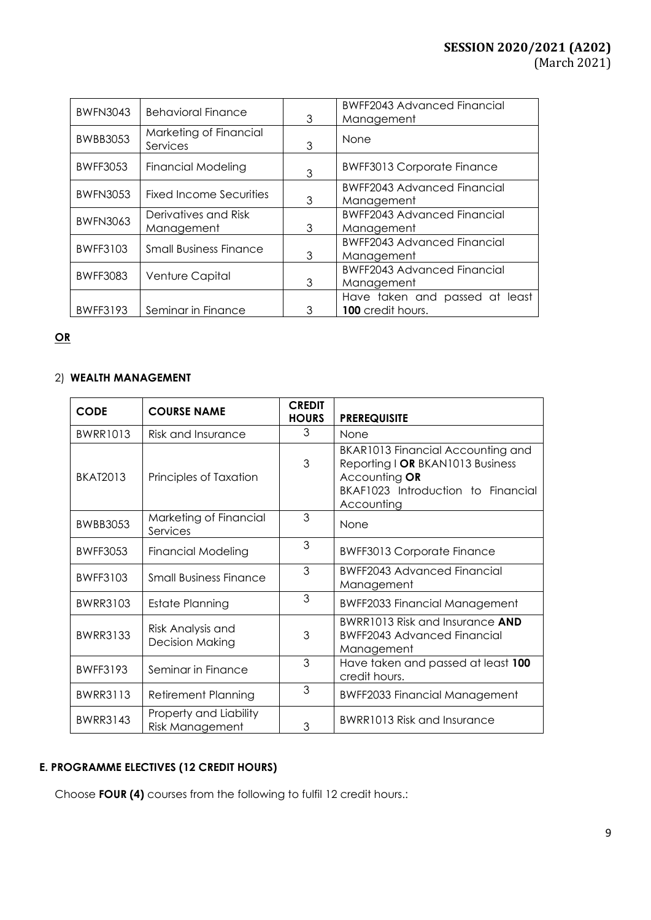| <b>BWFN3043</b> | <b>Behavioral Finance</b>          | 3 | <b>BWFF2043 Advanced Financial</b><br>Management |
|-----------------|------------------------------------|---|--------------------------------------------------|
| <b>BWBB3053</b> | Marketing of Financial<br>Services | 3 | None                                             |
| <b>BWFF3053</b> | <b>Financial Modeling</b>          | 3 | <b>BWFF3013 Corporate Finance</b>                |
| <b>BWFN3053</b> | Fixed Income Securities            | 3 | <b>BWFF2043 Advanced Financial</b><br>Management |
| <b>BWFN3063</b> | Derivatives and Risk               |   | <b>BWFF2043 Advanced Financial</b>               |
|                 | Management                         | 3 | Management                                       |
| <b>BWFF3103</b> | <b>Small Business Finance</b>      |   | <b>BWFF2043 Advanced Financial</b>               |
|                 |                                    | 3 | Management                                       |
|                 |                                    |   | <b>BWFF2043 Advanced Financial</b>               |
| <b>BWFF3083</b> | Venture Capital                    | 3 | Management                                       |
|                 |                                    |   | Have taken and passed at least                   |
| <b>BWFF3193</b> | Seminar in Finance                 | 3 | 100 credit hours.                                |

# **OR**

# 2) **WEALTH MANAGEMENT**

| <b>CODE</b>     | <b>COURSE NAME</b>                               | <b>CREDIT</b><br><b>HOURS</b> | <b>PREREQUISITE</b>                                                                                                                        |
|-----------------|--------------------------------------------------|-------------------------------|--------------------------------------------------------------------------------------------------------------------------------------------|
| <b>BWRR1013</b> | Risk and Insurance                               | 3                             | None                                                                                                                                       |
| <b>BKAT2013</b> | Principles of Taxation                           | 3                             | BKAR1013 Financial Accounting and<br>Reporting I OR BKAN1013 Business<br>Accounting OR<br>BKAF1023 Introduction to Financial<br>Accounting |
| <b>BWBB3053</b> | Marketing of Financial<br>Services               | 3                             | None                                                                                                                                       |
| <b>BWFF3053</b> | <b>Financial Modeling</b>                        | 3                             | <b>BWFF3013 Corporate Finance</b>                                                                                                          |
| <b>BWFF3103</b> | <b>Small Business Finance</b>                    | 3                             | <b>BWFF2043 Advanced Financial</b><br>Management                                                                                           |
| <b>BWRR3103</b> | <b>Estate Planning</b>                           | 3                             | <b>BWFF2033 Financial Management</b>                                                                                                       |
| <b>BWRR3133</b> | Risk Analysis and<br><b>Decision Making</b>      | 3                             | <b>BWRR1013 Risk and Insurance AND</b><br><b>BWFF2043 Advanced Financial</b><br>Management                                                 |
| <b>BWFF3193</b> | Seminar in Finance                               | 3                             | Have taken and passed at least 100<br>credit hours.                                                                                        |
| <b>BWRR3113</b> | <b>Retirement Planning</b>                       | 3                             | <b>BWFF2033 Financial Management</b>                                                                                                       |
| <b>BWRR3143</b> | Property and Liability<br><b>Risk Management</b> | 3                             | BWRR1013 Risk and Insurance                                                                                                                |

# **E. PROGRAMME ELECTIVES (12 CREDIT HOURS)**

Choose **FOUR (4)** courses from the following to fulfil 12 credit hours.: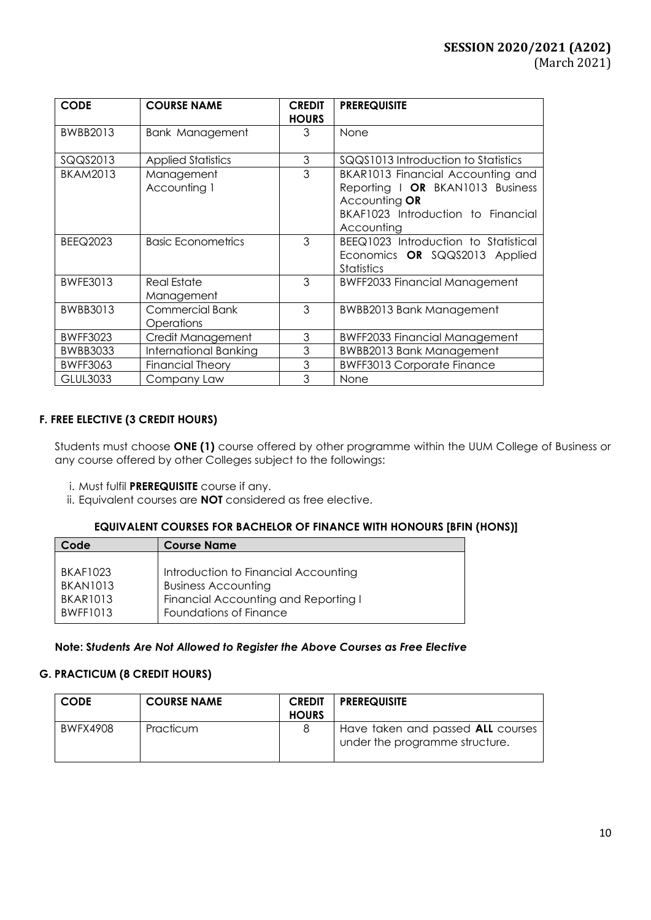| <b>CODE</b>     | <b>COURSE NAME</b>                   | <b>CREDIT</b><br><b>HOURS</b> | <b>PREREQUISITE</b>                                                                                                                        |
|-----------------|--------------------------------------|-------------------------------|--------------------------------------------------------------------------------------------------------------------------------------------|
| BWBB2013        | <b>Bank Management</b>               | 3                             | None                                                                                                                                       |
| SQQS2013        | <b>Applied Statistics</b>            | 3                             | SQQS1013 Introduction to Statistics                                                                                                        |
| <b>BKAM2013</b> | Management<br>Accounting 1           | 3                             | BKAR1013 Financial Accounting and<br>Reporting   OR BKAN1013 Business<br>Accounting OR<br>BKAF1023 Introduction to Financial<br>Accounting |
| <b>BEEQ2023</b> | <b>Basic Econometrics</b>            | 3                             | BEEQ1023 Introduction to Statistical<br>Economics OR SQQS2013 Applied<br>Statistics                                                        |
| <b>BWFE3013</b> | <b>Real Estate</b><br>Management     | 3                             | <b>BWFF2033 Financial Management</b>                                                                                                       |
| BWBB3013        | <b>Commercial Bank</b><br>Operations | 3                             | <b>BWBB2013 Bank Management</b>                                                                                                            |
| <b>BWFF3023</b> | Credit Management                    | 3                             | <b>BWFF2033 Financial Management</b>                                                                                                       |
| <b>BWBB3033</b> | <b>International Banking</b>         | 3                             | <b>BWBB2013 Bank Management</b>                                                                                                            |
| <b>BWFF3063</b> | <b>Financial Theory</b>              | 3                             | <b>BWFF3013 Corporate Finance</b>                                                                                                          |
| <b>GLUL3033</b> | Company Law                          | 3                             | None                                                                                                                                       |

# **F. FREE ELECTIVE (3 CREDIT HOURS)**

Students must choose **ONE (1)** course offered by other programme within the UUM College of Business or any course offered by other Colleges subject to the followings:

- i. Must fulfil **PREREQUISITE** course if any.
- ii. Equivalent courses are **NOT** considered as free elective.

### **EQUIVALENT COURSES FOR BACHELOR OF FINANCE WITH HONOURS [BFIN (HONS)]**

| Code            | <b>Course Name</b>                   |
|-----------------|--------------------------------------|
|                 |                                      |
| <b>BKAF1023</b> | Introduction to Financial Accounting |
| <b>BKAN1013</b> | <b>Business Accounting</b>           |
| <b>BKAR1013</b> | Financial Accounting and Reporting I |
| <b>BWFF1013</b> | Foundations of Finance               |

### **Note: S***tudents Are Not Allowed to Register the Above Courses as Free Elective*

#### **G. PRACTICUM (8 CREDIT HOURS)**

| <b>CODE</b> | <b>COURSE NAME</b> | <b>CREDIT</b><br><b>HOURS</b> | <b>PREREQUISITE</b>                                                 |
|-------------|--------------------|-------------------------------|---------------------------------------------------------------------|
| BWFX4908    | Practicum          |                               | Have taken and passed ALL courses<br>under the programme structure. |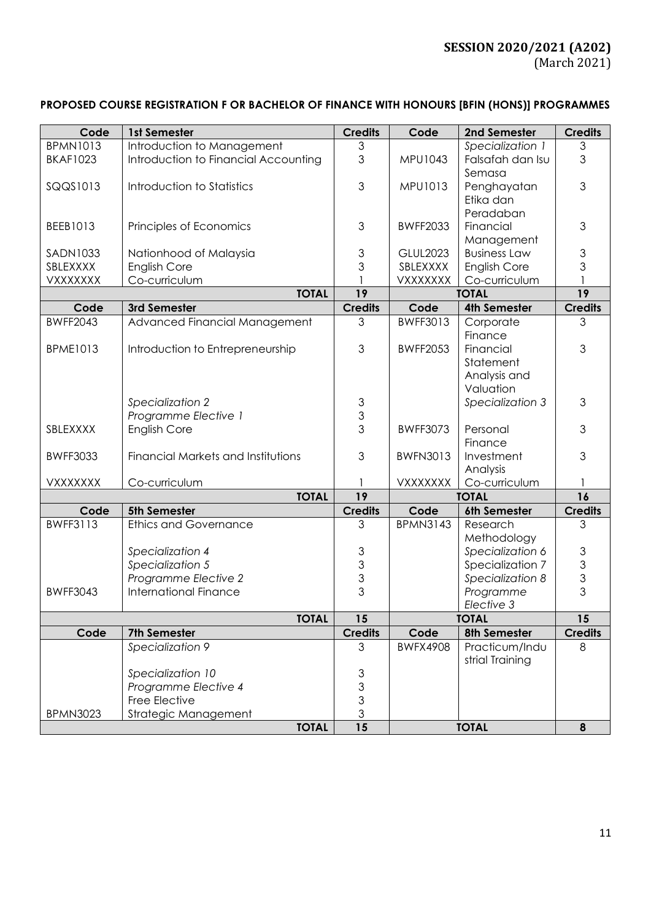# **PROPOSED COURSE REGISTRATION F OR BACHELOR OF FINANCE WITH HONOURS [BFIN (HONS)] PROGRAMMES**

| Code            | 1st Semester                         | <b>Credits</b> | Code            | 2nd Semester        | <b>Credits</b> |
|-----------------|--------------------------------------|----------------|-----------------|---------------------|----------------|
| <b>BPMN1013</b> | Introduction to Management           | $\mathfrak{Z}$ |                 | Specialization 1    | 3              |
| <b>BKAF1023</b> | Introduction to Financial Accounting | 3              | MPU1043         | Falsafah dan Isu    | 3              |
|                 |                                      |                |                 | Semasa              |                |
| SQQS1013        | Introduction to Statistics           | 3              | MPU1013         | Penghayatan         | 3              |
|                 |                                      |                |                 | Etika dan           |                |
|                 |                                      |                |                 | Peradaban           |                |
|                 |                                      |                |                 |                     |                |
| BEEB1013        | Principles of Economics              | 3              | <b>BWFF2033</b> | Financial           | 3              |
|                 |                                      |                |                 | Management          |                |
| <b>SADN1033</b> | Nationhood of Malaysia               | 3              | <b>GLUL2023</b> | <b>Business Law</b> | 3              |
| SBLEXXXX        | <b>English Core</b>                  | 3              | SBLEXXXX        | <b>English Core</b> | 3              |
| VXXXXXXX        | Co-curriculum                        |                | VXXXXXXX        | Co-curriculum       |                |
|                 | <b>TOTAL</b>                         | 19             | <b>TOTAL</b>    |                     | 19             |
| Code            | 3rd Semester                         | <b>Credits</b> | Code            | <b>4th Semester</b> | <b>Credits</b> |
| <b>BWFF2043</b> | Advanced Financial Management        | 3              | BWFF3013        | Corporate           | 3              |
|                 |                                      |                |                 | Finance             |                |
| <b>BPME1013</b> | Introduction to Entrepreneurship     | 3              | <b>BWFF2053</b> | Financial           | 3              |
|                 |                                      |                |                 | Statement           |                |
|                 |                                      |                |                 | Analysis and        |                |
|                 |                                      |                |                 | Valuation           |                |
|                 | Specialization 2                     | 3              |                 | Specialization 3    | 3              |
|                 | Programme Elective 1                 | $\frac{3}{3}$  |                 |                     |                |
| SBLEXXXX        | <b>English Core</b>                  |                | <b>BWFF3073</b> | Personal            | 3              |
|                 |                                      |                |                 | Finance             |                |
| <b>BWFF3033</b> | Financial Markets and Institutions   | 3              | <b>BWFN3013</b> | Investment          | 3              |
|                 |                                      |                |                 | Analysis            |                |
| VXXXXXXX        | Co-curriculum                        | 1              | <b>VXXXXXXX</b> | Co-curriculum       | 1              |
|                 | <b>TOTAL</b>                         | 19             | <b>TOTAL</b>    |                     | 16             |
| Code            | 5th Semester                         | <b>Credits</b> | Code            | 6th Semester        | <b>Credits</b> |
| <b>BWFF3113</b> | <b>Ethics and Governance</b>         | 3              | <b>BPMN3143</b> | Research            | 3              |
|                 |                                      |                |                 | Methodology         |                |
|                 | Specialization 4                     | $\mathfrak{S}$ |                 | Specialization 6    | $\mathfrak{S}$ |
|                 | Specialization 5                     |                |                 | Specialization 7    | $\frac{3}{3}$  |
|                 | Programme Elective 2                 | $\frac{3}{3}$  |                 | Specialization 8    |                |
| <b>BWFF3043</b> | <b>International Finance</b>         | 3              |                 | Programme           | 3              |
|                 |                                      |                |                 | Elective 3          |                |
|                 | <b>TOTAL</b>                         | 15             |                 | <b>TOTAL</b>        | 15             |
| Code            | 7th Semester                         | <b>Credits</b> | Code            | 8th Semester        | <b>Credits</b> |
|                 | Specialization 9                     | 3              | <b>BWFX4908</b> | Practicum/Indu      | 8              |
|                 |                                      |                |                 | strial Training     |                |
|                 | Specialization 10                    | $\mathfrak{S}$ |                 |                     |                |
|                 | Programme Elective 4                 | $\frac{3}{3}$  |                 |                     |                |
|                 | Free Elective                        |                |                 |                     |                |
| <b>BPMN3023</b> | Strategic Management                 | $\overline{3}$ |                 |                     |                |
|                 | <b>TOTAL</b>                         | 15             |                 | <b>TOTAL</b>        | 8              |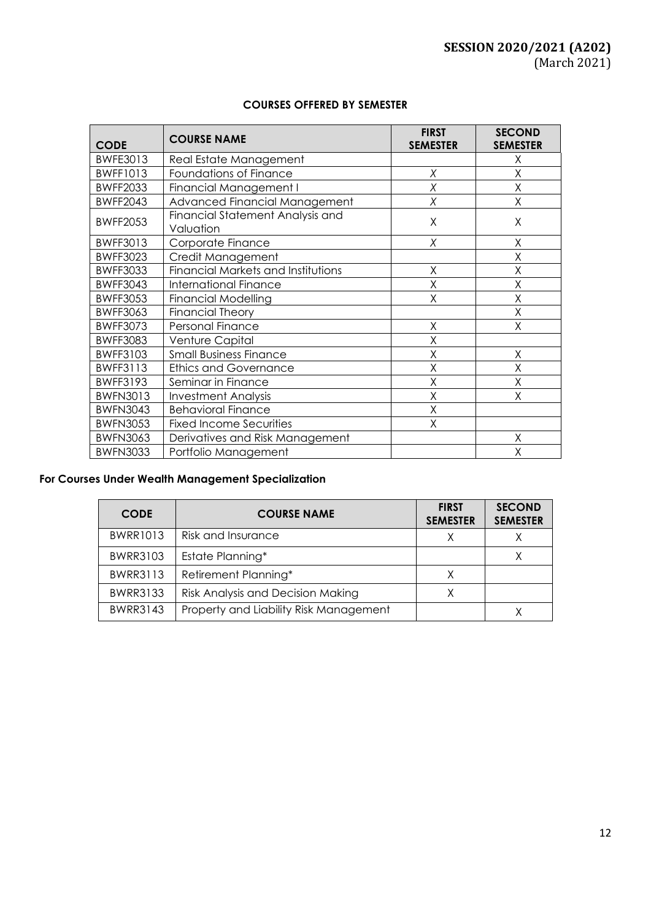| <b>CODE</b>     | <b>COURSE NAME</b>                            | <b>FIRST</b><br><b>SEMESTER</b> | <b>SECOND</b><br><b>SEMESTER</b> |
|-----------------|-----------------------------------------------|---------------------------------|----------------------------------|
| <b>BWFE3013</b> | Real Estate Management                        |                                 | X                                |
| <b>BWFF1013</b> | Foundations of Finance                        | X                               | X                                |
| <b>BWFF2033</b> | <b>Financial Management I</b>                 | X                               | X                                |
| <b>BWFF2043</b> | Advanced Financial Management                 | Χ                               | Χ                                |
| <b>BWFF2053</b> | Financial Statement Analysis and<br>Valuation | Χ                               | X                                |
| BWFF3013        | Corporate Finance                             | X                               | X                                |
| <b>BWFF3023</b> | Credit Management                             |                                 | Χ                                |
| <b>BWFF3033</b> | Financial Markets and Institutions            | X                               | Χ                                |
| <b>BWFF3043</b> | <b>International Finance</b>                  | Χ                               | X                                |
| <b>BWFF3053</b> | <b>Financial Modelling</b>                    | Χ                               | Χ                                |
| <b>BWFF3063</b> | <b>Financial Theory</b>                       |                                 | X                                |
| <b>BWFF3073</b> | Personal Finance                              | Χ                               | Χ                                |
| <b>BWFF3083</b> | Venture Capital                               | Χ                               |                                  |
| <b>BWFF3103</b> | <b>Small Business Finance</b>                 | X                               | Χ                                |
| <b>BWFF3113</b> | <b>Ethics and Governance</b>                  | X                               | Χ                                |
| <b>BWFF3193</b> | Seminar in Finance                            | Χ                               | X                                |
| <b>BWFN3013</b> | <b>Investment Analysis</b>                    | Χ                               | Χ                                |
| <b>BWFN3043</b> | <b>Behavioral Finance</b>                     | Χ                               |                                  |
| <b>BWFN3053</b> | <b>Fixed Income Securities</b>                | Χ                               |                                  |
| <b>BWFN3063</b> | Derivatives and Risk Management               |                                 | Χ                                |
| <b>BWFN3033</b> | Portfolio Management                          |                                 | Χ                                |

# **For Courses Under Wealth Management Specialization**

| <b>CODE</b>     | <b>COURSE NAME</b>                     | <b>FIRST</b><br><b>SEMESTER</b> | <b>SECOND</b><br><b>SEMESTER</b> |
|-----------------|----------------------------------------|---------------------------------|----------------------------------|
| <b>BWRR1013</b> | Risk and Insurance                     | Χ                               |                                  |
| <b>BWRR3103</b> | Estate Planning*                       |                                 |                                  |
| <b>BWRR3113</b> | Retirement Planning*                   | Χ                               |                                  |
| <b>BWRR3133</b> | Risk Analysis and Decision Making      |                                 |                                  |
| <b>BWRR3143</b> | Property and Liability Risk Management |                                 |                                  |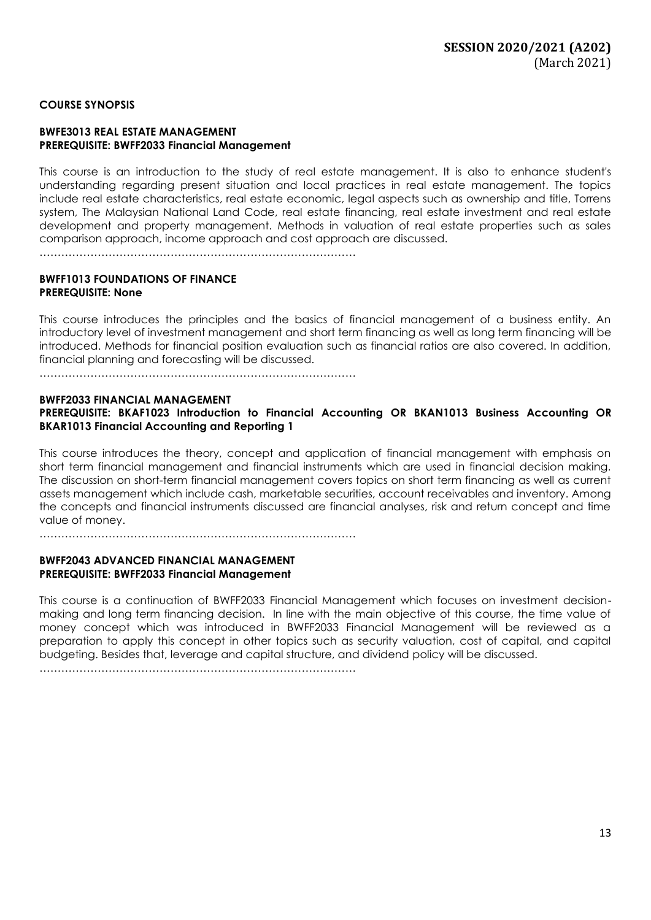### **COURSE SYNOPSIS**

#### **BWFE3013 REAL ESTATE MANAGEMENT PREREQUISITE: BWFF2033 Financial Management**

This course is an introduction to the study of real estate management. It is also to enhance student's understanding regarding present situation and local practices in real estate management. The topics include real estate characteristics, real estate economic, legal aspects such as ownership and title, Torrens system, The Malaysian National Land Code, real estate financing, real estate investment and real estate development and property management. Methods in valuation of real estate properties such as sales comparison approach, income approach and cost approach are discussed.

……………………………………………………………………………

### **BWFF1013 FOUNDATIONS OF FINANCE PREREQUISITE: None**

This course introduces the principles and the basics of financial management of a business entity. An introductory level of investment management and short term financing as well as long term financing will be introduced. Methods for financial position evaluation such as financial ratios are also covered. In addition, financial planning and forecasting will be discussed.

……………………………………………………………………………

#### **BWFF2033 FINANCIAL MANAGEMENT**

**PREREQUISITE: BKAF1023 Introduction to Financial Accounting OR BKAN1013 Business Accounting OR BKAR1013 Financial Accounting and Reporting 1**

This course introduces the theory, concept and application of financial management with emphasis on short term financial management and financial instruments which are used in financial decision making. The discussion on short-term financial management covers topics on short term financing as well as current assets management which include cash, marketable securities, account receivables and inventory. Among the concepts and financial instruments discussed are financial analyses, risk and return concept and time value of money.

……………………………………………………………………………

#### **BWFF2043 ADVANCED FINANCIAL MANAGEMENT PREREQUISITE: BWFF2033 Financial Management**

This course is a continuation of BWFF2033 Financial Management which focuses on investment decisionmaking and long term financing decision. In line with the main objective of this course, the time value of money concept which was introduced in BWFF2033 Financial Management will be reviewed as a preparation to apply this concept in other topics such as security valuation, cost of capital, and capital budgeting. Besides that, leverage and capital structure, and dividend policy will be discussed.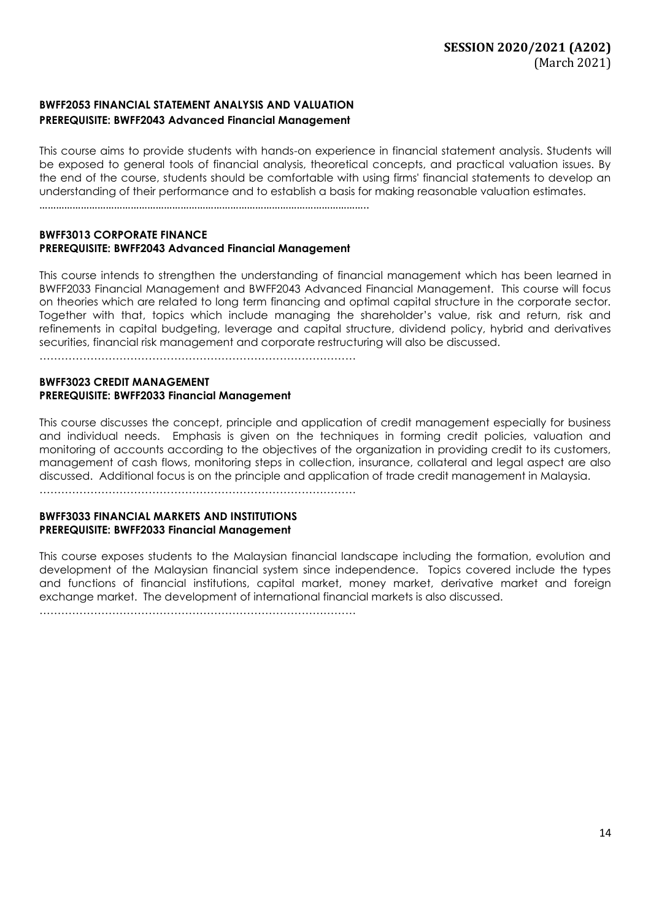# **BWFF2053 FINANCIAL STATEMENT ANALYSIS AND VALUATION PREREQUISITE: BWFF2043 Advanced Financial Management**

This course aims to provide students with hands-on experience in financial statement analysis. Students will be exposed to general tools of financial analysis, theoretical concepts, and practical valuation issues. By the end of the course, students should be comfortable with using firms' financial statements to develop an understanding of their performance and to establish a basis for making reasonable valuation estimates.

………………………………………………………………………………………………………..

#### **BWFF3013 CORPORATE FINANCE PREREQUISITE: BWFF2043 Advanced Financial Management**

This course intends to strengthen the understanding of financial management which has been learned in BWFF2033 Financial Management and BWFF2043 Advanced Financial Management. This course will focus on theories which are related to long term financing and optimal capital structure in the corporate sector. Together with that, topics which include managing the shareholder's value, risk and return, risk and refinements in capital budgeting, leverage and capital structure, dividend policy, hybrid and derivatives securities, financial risk management and corporate restructuring will also be discussed.

……………………………………………………………………………

#### **BWFF3023 CREDIT MANAGEMENT PREREQUISITE: BWFF2033 Financial Management**

This course discusses the concept, principle and application of credit management especially for business and individual needs. Emphasis is given on the techniques in forming credit policies, valuation and monitoring of accounts according to the objectives of the organization in providing credit to its customers, management of cash flows, monitoring steps in collection, insurance, collateral and legal aspect are also discussed. Additional focus is on the principle and application of trade credit management in Malaysia.

……………………………………………………………………………

#### **BWFF3033 FINANCIAL MARKETS AND INSTITUTIONS PREREQUISITE: BWFF2033 Financial Management**

This course exposes students to the Malaysian financial landscape including the formation, evolution and development of the Malaysian financial system since independence. Topics covered include the types and functions of financial institutions, capital market, money market, derivative market and foreign exchange market. The development of international financial markets is also discussed.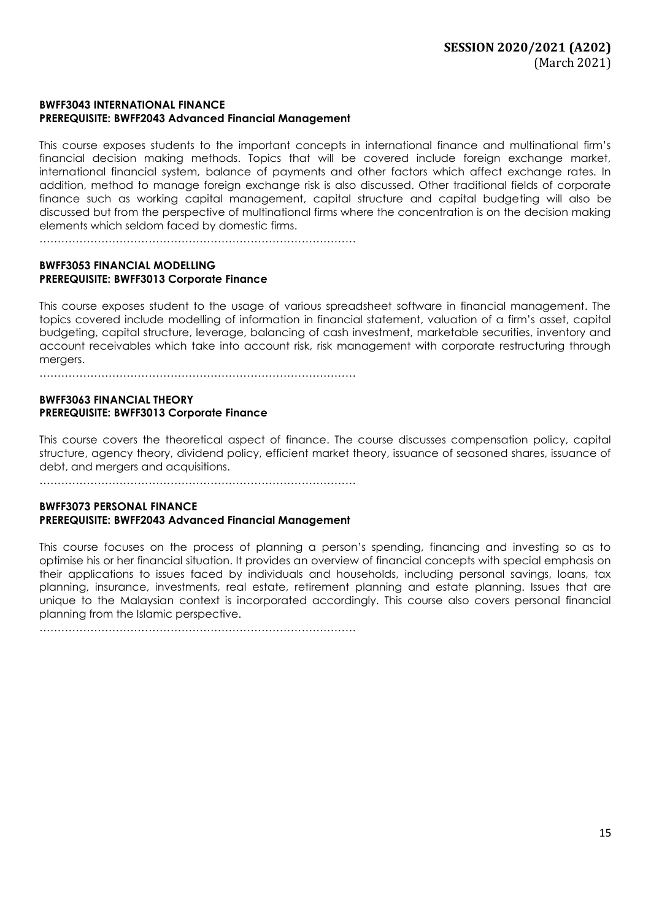### **BWFF3043 INTERNATIONAL FINANCE PREREQUISITE: BWFF2043 Advanced Financial Management**

This course exposes students to the important concepts in international finance and multinational firm's financial decision making methods. Topics that will be covered include foreign exchange market, international financial system, balance of payments and other factors which affect exchange rates. In addition, method to manage foreign exchange risk is also discussed. Other traditional fields of corporate finance such as working capital management, capital structure and capital budgeting will also be discussed but from the perspective of multinational firms where the concentration is on the decision making elements which seldom faced by domestic firms.

 $\mathcal{L}^{(n)}$ 

### **BWFF3053 FINANCIAL MODELLING PREREQUISITE: BWFF3013 Corporate Finance**

This course exposes student to the usage of various spreadsheet software in financial management. The topics covered include modelling of information in financial statement, valuation of a firm's asset, capital budgeting, capital structure, leverage, balancing of cash investment, marketable securities, inventory and account receivables which take into account risk, risk management with corporate restructuring through mergers.

……………………………………………………………………………

### **BWFF3063 FINANCIAL THEORY PREREQUISITE: BWFF3013 Corporate Finance**

This course covers the theoretical aspect of finance. The course discusses compensation policy, capital structure, agency theory, dividend policy, efficient market theory, issuance of seasoned shares, issuance of debt, and mergers and acquisitions.

……………………………………………………………………………

### **BWFF3073 PERSONAL FINANCE PREREQUISITE: BWFF2043 Advanced Financial Management**

This course focuses on the process of planning a person's spending, financing and investing so as to optimise his or her financial situation. It provides an overview of financial concepts with special emphasis on their applications to issues faced by individuals and households, including personal savings, loans, tax planning, insurance, investments, real estate, retirement planning and estate planning. Issues that are unique to the Malaysian context is incorporated accordingly. This course also covers personal financial planning from the Islamic perspective.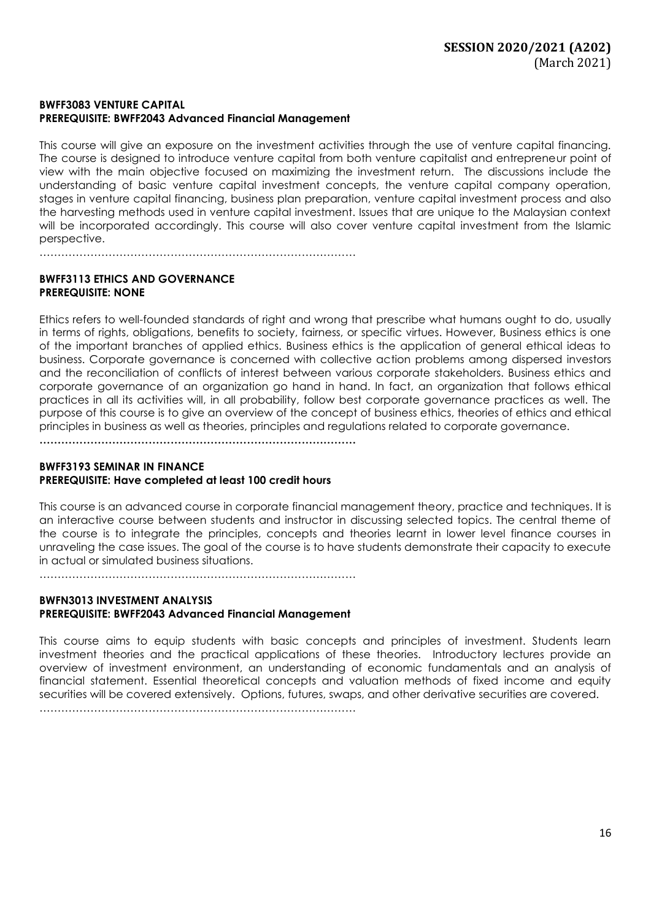### **BWFF3083 VENTURE CAPITAL PREREQUISITE: BWFF2043 Advanced Financial Management**

……………………………………………………………………………

This course will give an exposure on the investment activities through the use of venture capital financing. The course is designed to introduce venture capital from both venture capitalist and entrepreneur point of view with the main objective focused on maximizing the investment return. The discussions include the understanding of basic venture capital investment concepts, the venture capital company operation, stages in venture capital financing, business plan preparation, venture capital investment process and also the harvesting methods used in venture capital investment. Issues that are unique to the Malaysian context will be incorporated accordingly. This course will also cover venture capital investment from the Islamic perspective.

**BWFF3113 ETHICS AND GOVERNANCE PREREQUISITE: NONE**

Ethics refers to well-founded standards of right and wrong that prescribe what humans ought to do, usually in terms of rights, obligations, benefits to society, fairness, or specific virtues. However, Business ethics is one of the important branches of applied ethics. Business ethics is the application of general ethical ideas to business. Corporate governance is concerned with collective action problems among dispersed investors and the reconciliation of conflicts of interest between various corporate stakeholders. Business ethics and corporate governance of an organization go hand in hand. In fact, an organization that follows ethical practices in all its activities will, in all probability, follow best corporate governance practices as well. The purpose of this course is to give an overview of the concept of business ethics, theories of ethics and ethical principles in business as well as theories, principles and regulations related to corporate governance.

**……………………………………………………………………………**

## **BWFF3193 SEMINAR IN FINANCE PREREQUISITE: Have completed at least 100 credit hours**

This course is an advanced course in corporate financial management theory, practice and techniques. It is an interactive course between students and instructor in discussing selected topics. The central theme of the course is to integrate the principles, concepts and theories learnt in lower level finance courses in unraveling the case issues. The goal of the course is to have students demonstrate their capacity to execute in actual or simulated business situations.

……………………………………………………………………………

#### **BWFN3013 INVESTMENT ANALYSIS PREREQUISITE: BWFF2043 Advanced Financial Management**

This course aims to equip students with basic concepts and principles of investment. Students learn investment theories and the practical applications of these theories. Introductory lectures provide an overview of investment environment, an understanding of economic fundamentals and an analysis of financial statement. Essential theoretical concepts and valuation methods of fixed income and equity securities will be covered extensively. Options, futures, swaps, and other derivative securities are covered.